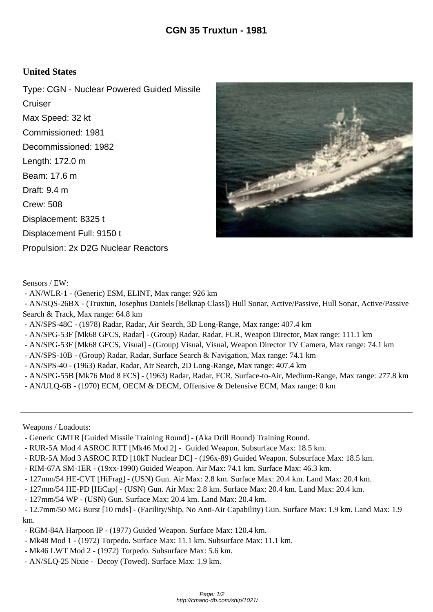## **United States**

Type: CGN - Nuclear Powered Guided Missile **Cruiser** Max Speed: 32 kt Commissioned: 1981 Decommissioned: 1982 Length: 172.0 m Beam: 17.6 m Draft: 9.4 m Crew: 508 Displacement: 8325 t Displacement Full: 9150 t Propulsion: 2x D2G Nuclear Reactors



Sensors / EW:

- AN/WLR-1 - (Generic) ESM, ELINT, Max range: 926 km

 - AN/SQS-26BX - (Truxtun, Josephus Daniels [Belknap Class]) Hull Sonar, Active/Passive, Hull Sonar, Active/Passive Search & Track, Max range: 64.8 km

- AN/SPS-48C (1978) Radar, Radar, Air Search, 3D Long-Range, Max range: 407.4 km
- AN/SPG-53F [Mk68 GFCS, Radar] (Group) Radar, Radar, FCR, Weapon Director, Max range: 111.1 km
- AN/SPG-53F [Mk68 GFCS, Visual] (Group) Visual, Visual, Weapon Director TV Camera, Max range: 74.1 km
- AN/SPS-10B (Group) Radar, Radar, Surface Search & Navigation, Max range: 74.1 km
- AN/SPS-40 (1963) Radar, Radar, Air Search, 2D Long-Range, Max range: 407.4 km
- AN/SPG-55B [Mk76 Mod 8 FCS] (1963) Radar, Radar, FCR, Surface-to-Air, Medium-Range, Max range: 277.8 km
- AN/ULQ-6B (1970) ECM, OECM & DECM, Offensive & Defensive ECM, Max range: 0 km

Weapons / Loadouts:

- Generic GMTR [Guided Missile Training Round] (Aka Drill Round) Training Round.
- RUR-5A Mod 4 ASROC RTT [Mk46 Mod 2] Guided Weapon. Subsurface Max: 18.5 km.
- RUR-5A Mod 3 ASROC RTD [10kT Nuclear DC] (196x-89) Guided Weapon. Subsurface Max: 18.5 km.
- RIM-67A SM-1ER (19xx-1990) Guided Weapon. Air Max: 74.1 km. Surface Max: 46.3 km.
- 127mm/54 HE-CVT [HiFrag] (USN) Gun. Air Max: 2.8 km. Surface Max: 20.4 km. Land Max: 20.4 km.
- 127mm/54 HE-PD [HiCap] (USN) Gun. Air Max: 2.8 km. Surface Max: 20.4 km. Land Max: 20.4 km.
- 127mm/54 WP (USN) Gun. Surface Max: 20.4 km. Land Max: 20.4 km.

 - 12.7mm/50 MG Burst [10 rnds] - (Facility/Ship, No Anti-Air Capability) Gun. Surface Max: 1.9 km. Land Max: 1.9 km.

- RGM-84A Harpoon IP (1977) Guided Weapon. Surface Max: 120.4 km.
- Mk48 Mod 1 (1972) Torpedo. Surface Max: 11.1 km. Subsurface Max: 11.1 km.
- Mk46 LWT Mod 2 (1972) Torpedo. Subsurface Max: 5.6 km.
- AN/SLQ-25 Nixie Decoy (Towed). Surface Max: 1.9 km.